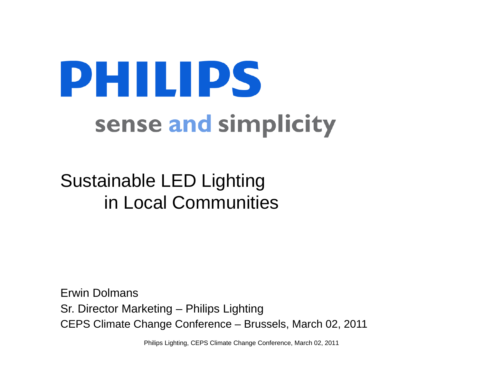# PHILIPS sense and simplicity

Sustainable LED Lighting in Local Communities

Erwin DolmansSr. Director Marketing – Philips Lighting CEPS Climate Change Conference – Brussels, March 02, 2011

Philips Lighting, CEPS Climate Change Conference, March 02, 2011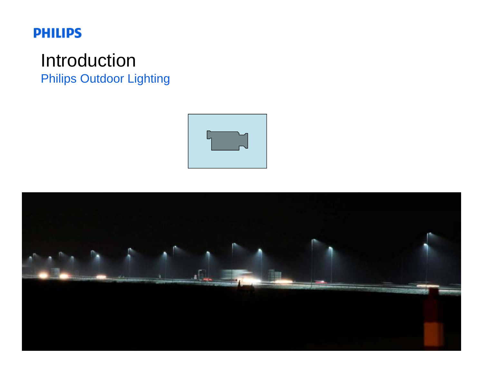# Introduction Philips Outdoor Lighting



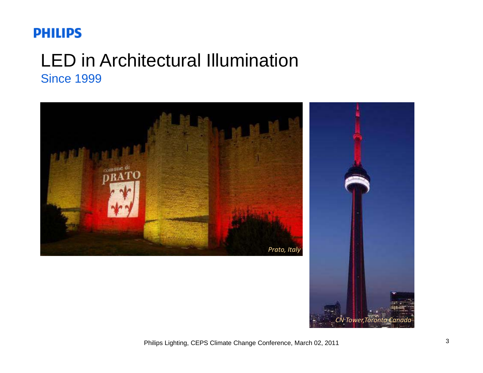# LED in Architectural Illumination Since 1999



*CN Tower,Toronto Canada*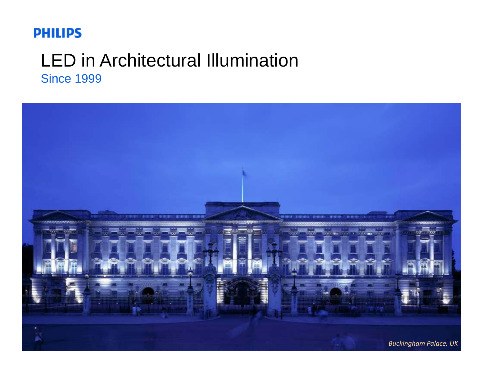## LED in Architectural Illumination Since 1999

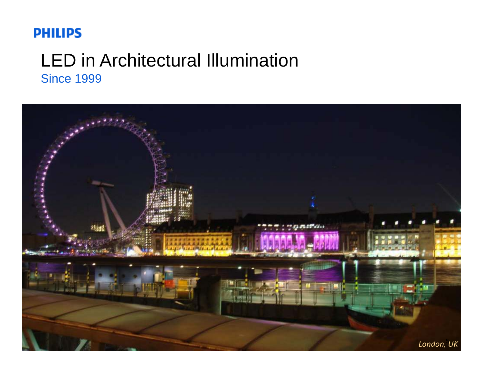## LED in Architectural Illumination Since 1999

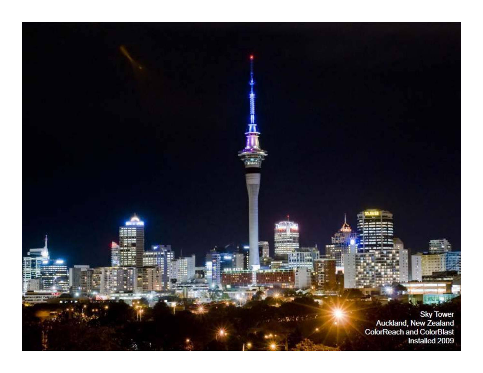Sky Tower<br>Auckland, New Zealand<br>ColorReach and ColorBlast<br>Installed 2009

 $\label{eq:3.1} \mathcal{L} = 2 \pi \mathbf{W}^2 \mathbf{C}^{-1} \mathbf{C}^{-1}$ 

 $\mathcal{H}$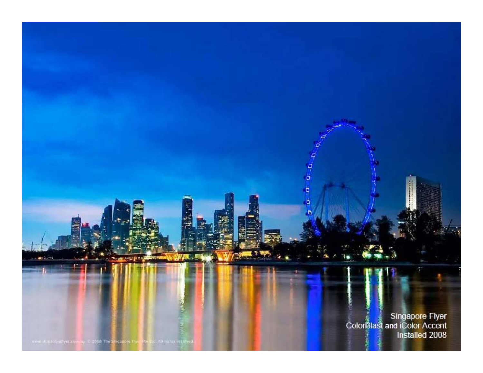Philips Lighting, Color Blast and iColor Accent<br>Philips Lighting, Color Blast and iColor Accent<br>Philips Linstalled 2008

 $\sim$ 

9 ö

٩  $\ddot{a}$ 

2008 The

**DO JK**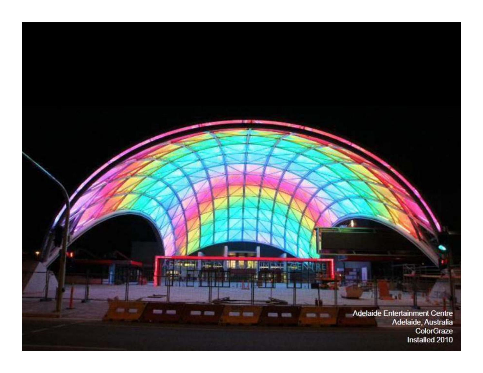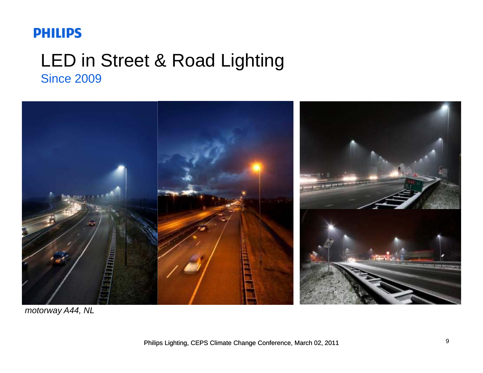## LED in Street & Road Lighting Since 2009



*motorway A44, NL*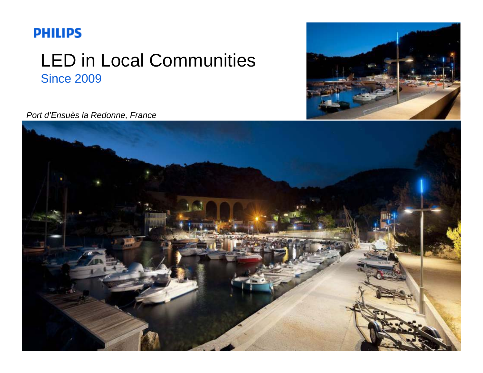# LED in Local Communities Since 2009



*Port d'Ensuès la Redonne France d Ensuès Redonne,* 

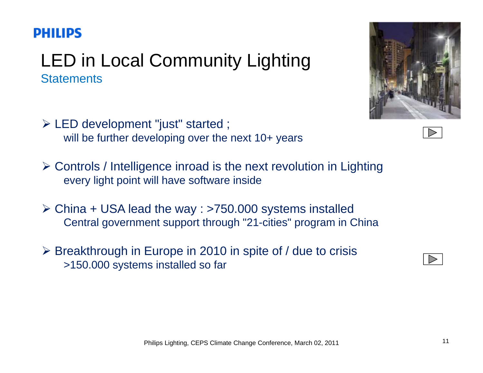# LED in Local Community Lighting **Statements**

- ¾ LED development "just" started ; will be further developing over the next 10+ years
- $\triangleright$  Controls / Intelligence inroad is the next revolution in Lighting every light point will have software inside
- ≻ China + USA lead the way : >750.000 systems installed Central government support through "21-cities" program in China
- ≻ Breakthrough in Europe in 2010 in spite of / due to crisis >150.000 systems installed so far





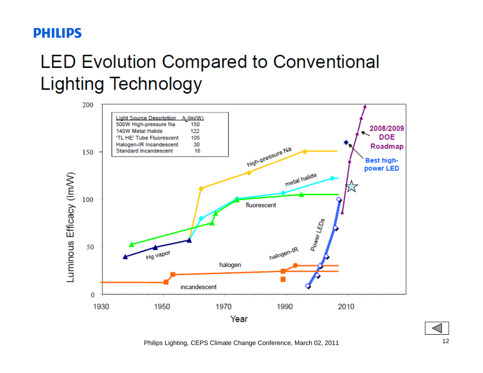# **LED Evolution Compared to Conventional Lighting Technology**



Philips Lighting, CEPS Climate Change Conference, March 02, 2011 12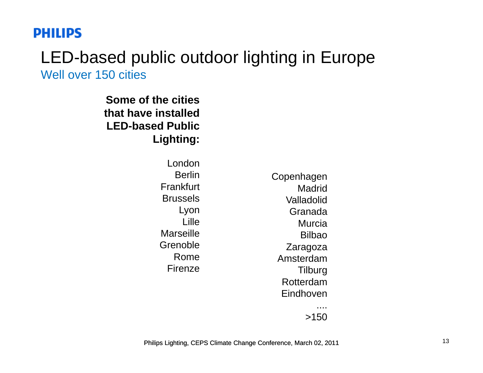#### LED-based public outdoor lighting in Europe Well over 150 cities

**Some of the citiesthat have installed LED-based Public Lighting:**

> LondonBerlin**Frankfurt** BrusselsLyon Lille**Marseille** GrenobleRomeFirenze

Copenhagen MadridValladolidGranada MurciaBilbaoZaragoza e Amsterdam **Tilburg** RotterdamEindhoven....

>150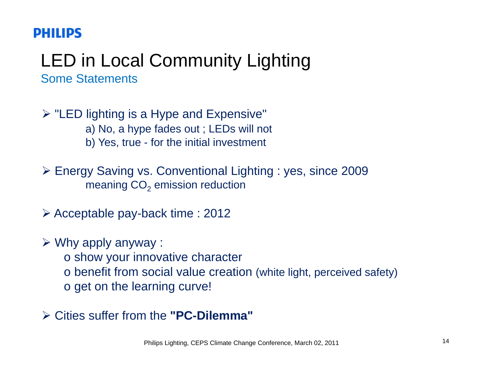#### LED in Local Community Lighting Some Statements

 $\triangleright$  "LED lighting is a Hype and Expensive"

a) No, a hype fades out ; LEDs will not

b) Yes, true - for the initial investment

¾ Energy Saving vs. Conventional Lighting : yes, since 2009 meaning CO $_{\rm 2}$  emission reduction

≻ Acceptable pay-back time : 2012

 $\triangleright$  Why apply anyway :

 $\circ$  show your innovative character

o benefit from social value creation (white light, perceived safety)

o get on the learning curve!

¾ Cities suffer from the **"PC-Dilemma"**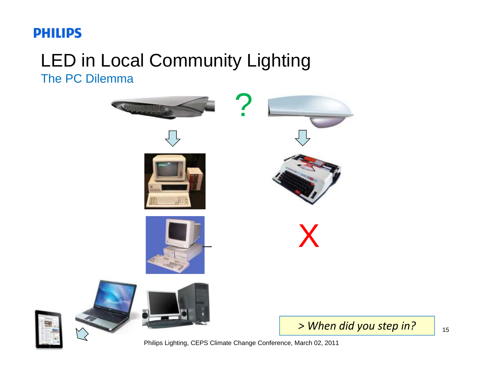## LED in Local Community Lighting The PC Dilemma





Philips Lighting, CEPS Climate Change Conference, March 02, 2011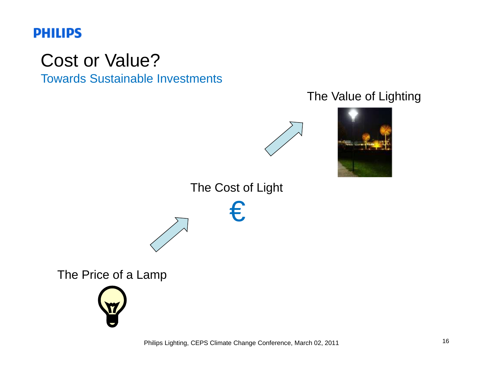# Cost or Value?

Towards Sustainable Investments

#### The Value of Lighting





The Cost of Light

€





Philips Lighting, CEPS Climate Change Conference, March 02, 2011 16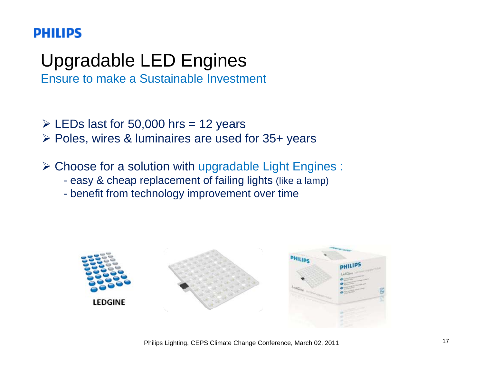# Upgradable LED Engines

Ensure to make a Sustainable Investment

- $\geq$  LEDs last for 50,000 hrs = 12 years
- ¾ Poles, wires & luminaires are used for 35+ years
- $\triangleright$  Choose for a solution with upgradable Light Engines :
	- easy & cheap replacement of failing lights (like a lamp)
	- benefit from technology improvement over time

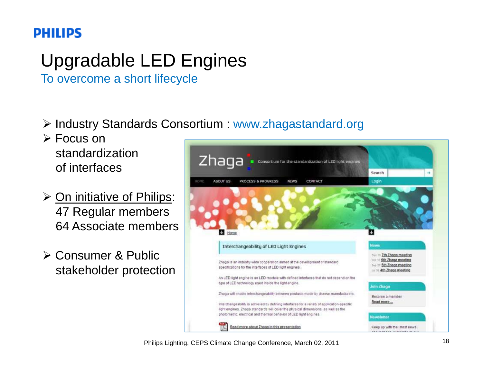# Upgradable LED Engines

To overcome a short lifecycle

- ¾ Industry Standards Consortium : www.zhagastandard.org
- ¾ Focus on standardizationof interfaces
- ¾ On initiative of Philips: 47 Regular members 64 Associate members
- ¾ Consumer & Public stakeholder protection



Philips Lighting, CEPS Climate Change Conference, March 02, 2011 18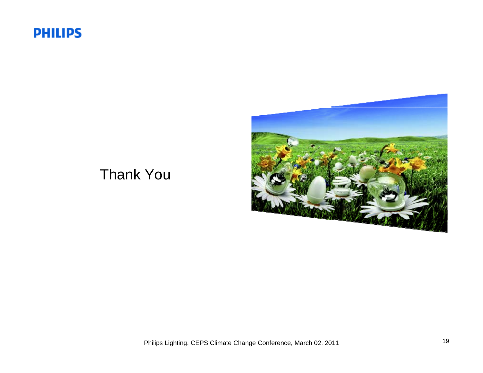

#### Thank You